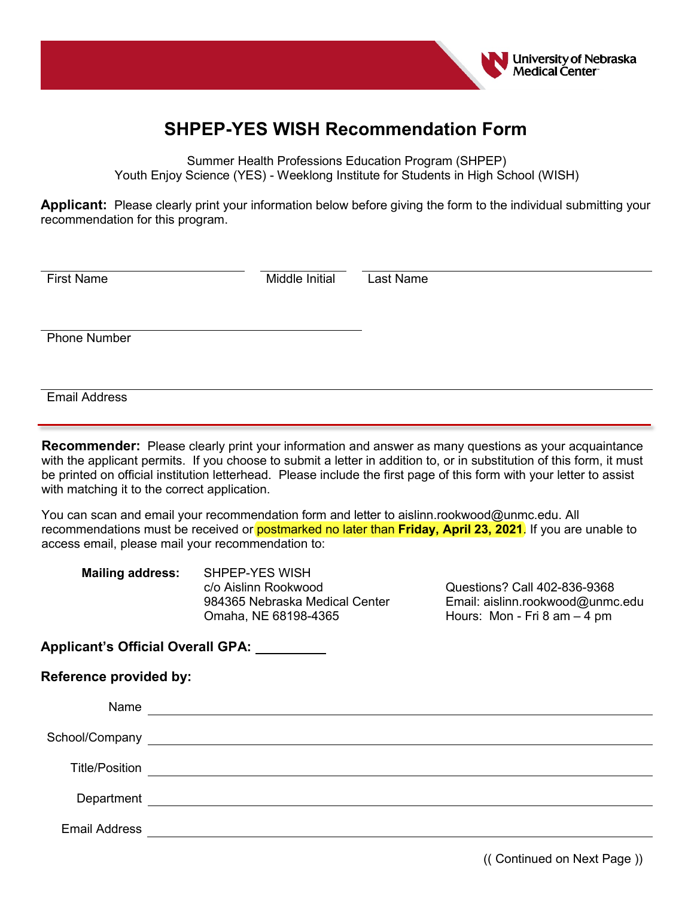

## **SHPEP-YES WISH Recommendation Form**

Summer Health Professions Education Program (SHPEP) Youth Enjoy Science (YES) - Weeklong Institute for Students in High School (WISH)

**Applicant:** Please clearly print your information below before giving the form to the individual submitting your recommendation for this program.

| <b>First Name</b>   | Middle Initial | Last Name |
|---------------------|----------------|-----------|
|                     |                |           |
| <b>Phone Number</b> |                |           |
|                     |                |           |

**Recommender:** Please clearly print your information and answer as many questions as your acquaintance with the applicant permits. If you choose to submit a letter in addition to, or in substitution of this form, it must be printed on official institution letterhead. Please include the first page of this form with your letter to assist with matching it to the correct application.

You can scan and email your recommendation form and letter to aislinn.rookwood@unmc.edu. All recommendations must be received or postmarked no later than **Friday, April 23, 2021**. If you are unable to access email, please mail your recommendation to:

| <b>Mailing address:</b> | SHPEP-YES WISH                 |  |  |
|-------------------------|--------------------------------|--|--|
|                         | c/o Aislinn Rookwood           |  |  |
|                         | 984365 Nebraska Medical Center |  |  |
|                         | Omaha, NE 68198-4365           |  |  |

Questions? Call 402-836-9368 Email: aislinn.rookwood@unmc.edu Hours: Mon - Fri 8 am – 4 pm

**Applicant's Official Overall GPA:** 

Email Address

| <b>Reference provided by:</b> |                                                                                                                                                                                                                                |
|-------------------------------|--------------------------------------------------------------------------------------------------------------------------------------------------------------------------------------------------------------------------------|
| Name                          |                                                                                                                                                                                                                                |
|                               | School/Company experience and the settlement of the settlement of the settlement of the settlement of the settlement of the settlement of the settlement of the settlement of the settlement of the settlement of the settleme |
| <b>Title/Position</b>         | <u> 1980 - Andrea Andrew Maria (b. 1980)</u>                                                                                                                                                                                   |
|                               |                                                                                                                                                                                                                                |
| <b>Email Address</b>          |                                                                                                                                                                                                                                |

(( Continued on Next Page ))